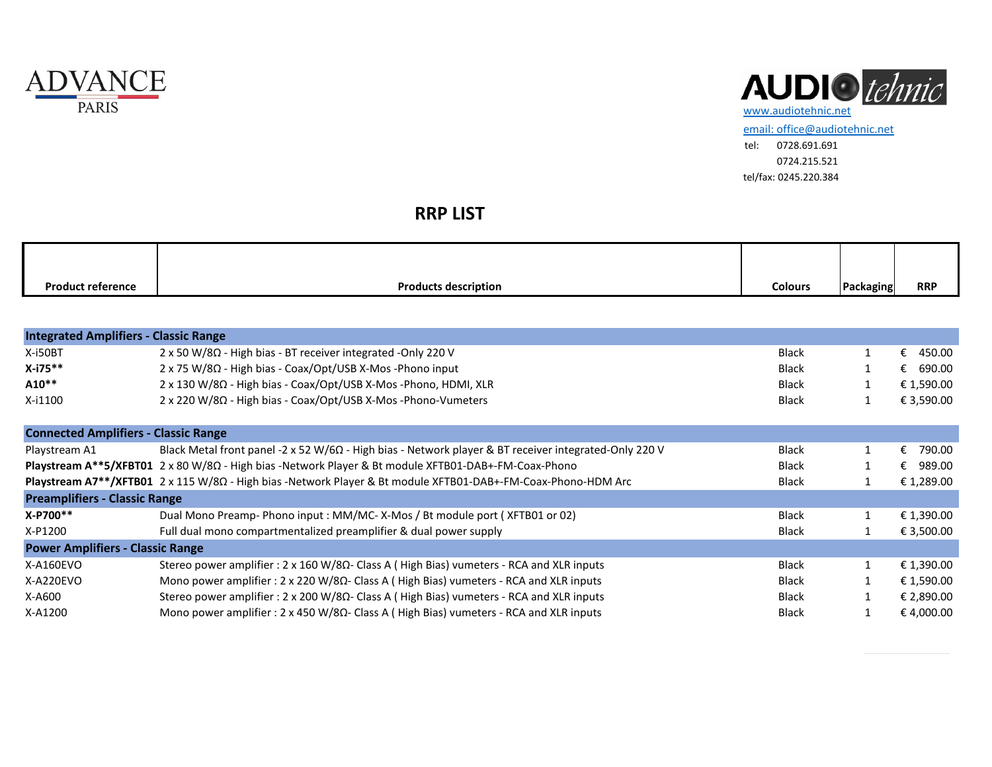



[email: office@audiotehnic.net](mailto:office@audiotehnic.net) tel: 0728.691.691 0724.215.521 tel/fax: 0245.220.384

## **RRP LIST**

| <b>Product reference</b> | <b>Products description</b> | <b>Colours</b> | Packaging | <b>RRP</b> |
|--------------------------|-----------------------------|----------------|-----------|------------|

| <b>Integrated Amplifiers - Classic Range</b> |                                                                                                                    |              |  |             |  |  |  |
|----------------------------------------------|--------------------------------------------------------------------------------------------------------------------|--------------|--|-------------|--|--|--|
| X-i50BT                                      | 2 x 50 W/8Ω - High bias - BT receiver integrated -Only 220 V                                                       | <b>Black</b> |  | 450.00<br>€ |  |  |  |
| X-i75**                                      | 2 x 75 W/8Ω - High bias - Coax/Opt/USB X-Mos - Phono input                                                         | <b>Black</b> |  | €<br>690.00 |  |  |  |
| A10**                                        | 2 x 130 W/8Ω - High bias - Coax/Opt/USB X-Mos -Phono, HDMI, XLR                                                    | <b>Black</b> |  | € 1,590.00  |  |  |  |
| X-i1100                                      | 2 x 220 W/8Ω - High bias - Coax/Opt/USB X-Mos -Phono-Vumeters                                                      | <b>Black</b> |  | € 3,590.00  |  |  |  |
|                                              |                                                                                                                    |              |  |             |  |  |  |
| <b>Connected Amplifiers - Classic Range</b>  |                                                                                                                    |              |  |             |  |  |  |
| Playstream A1                                | Black Metal front panel -2 x 52 W/6 $\Omega$ - High bias - Network player & BT receiver integrated-Only 220 V      | <b>Black</b> |  | 790.00<br>€ |  |  |  |
|                                              | Playstream $A^{**}5/xFB$ T01 2 x 80 W/8 $\Omega$ - High bias -Network Player & Bt module XFTB01-DAB+-FM-Coax-Phono | <b>Black</b> |  | 989.00<br>€ |  |  |  |
|                                              | Playstream A7**/XFTB01 2 x 115 W/8Ω - High bias -Network Player & Bt module XFTB01-DAB+-FM-Coax-Phono-HDM Arc      | <b>Black</b> |  | € 1,289.00  |  |  |  |
| <b>Preamplifiers - Classic Range</b>         |                                                                                                                    |              |  |             |  |  |  |
| X-P700**                                     | Dual Mono Preamp- Phono input: MM/MC-X-Mos / Bt module port (XFTB01 or 02)                                         | <b>Black</b> |  | € 1,390.00  |  |  |  |
| X-P1200                                      | Full dual mono compartmentalized preamplifier & dual power supply                                                  | <b>Black</b> |  | € 3,500.00  |  |  |  |
| <b>Power Amplifiers - Classic Range</b>      |                                                                                                                    |              |  |             |  |  |  |
| X-A160EVO                                    | Stereo power amplifier : $2 \times 160 \text{ W} / 8\Omega$ - Class A (High Bias) vumeters - RCA and XLR inputs    | <b>Black</b> |  | € 1,390.00  |  |  |  |
| X-A220EVO                                    | Mono power amplifier: 2 x 220 W/8Ω- Class A (High Bias) vumeters - RCA and XLR inputs                              | <b>Black</b> |  | € 1,590.00  |  |  |  |
| X-A600                                       | Stereo power amplifier : $2 \times 200 \text{ W} / 8\Omega$ - Class A (High Bias) vumeters - RCA and XLR inputs    | <b>Black</b> |  | € 2,890.00  |  |  |  |
| X-A1200                                      | Mono power amplifier : 2 x 450 W/8 $\Omega$ - Class A (High Bias) vumeters - RCA and XLR inputs                    | <b>Black</b> |  | € 4,000.00  |  |  |  |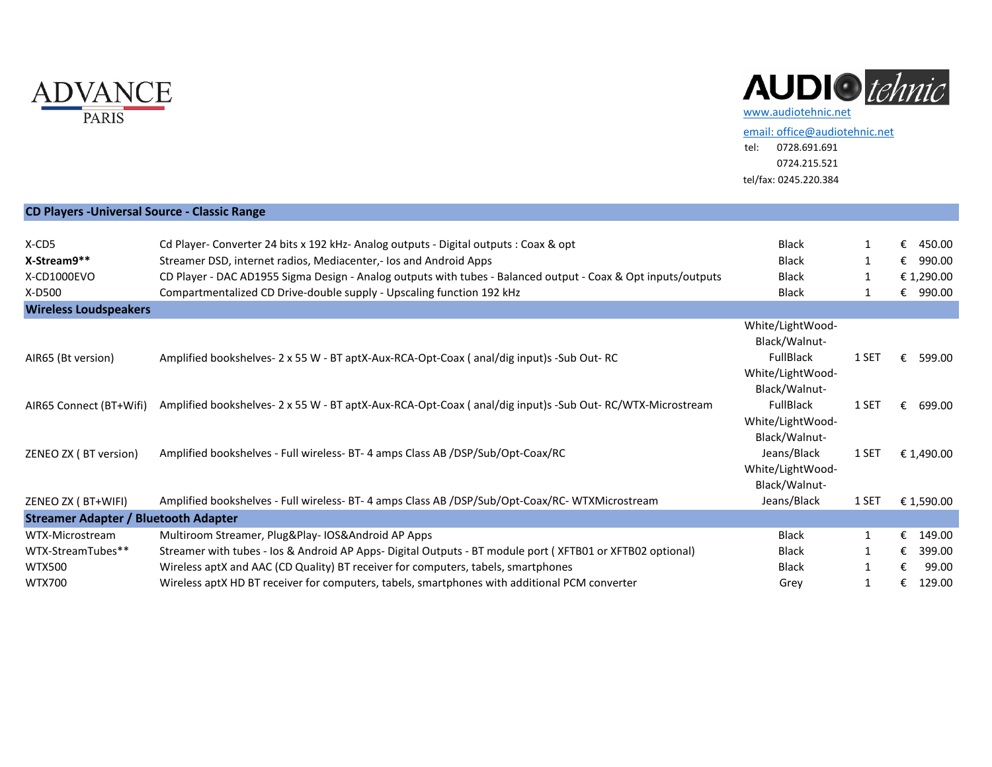

## AUDIO tehnic

[email: office@audiotehnic.net](mailto:office@audiotehnic.net)

tel: 0728.691.691 0724.215.521 tel/fax: 0245.220.384

| <b>CD Players - Universal Source - Classic Range</b> |                                                                                                               |                                                       |              |             |
|------------------------------------------------------|---------------------------------------------------------------------------------------------------------------|-------------------------------------------------------|--------------|-------------|
|                                                      |                                                                                                               |                                                       |              |             |
| X-CD5                                                | Cd Player- Converter 24 bits x 192 kHz- Analog outputs - Digital outputs : Coax & opt                         | <b>Black</b>                                          | 1            | €<br>450.00 |
| X-Stream9**                                          | Streamer DSD, internet radios, Mediacenter,- los and Android Apps                                             | <b>Black</b>                                          | $\mathbf{1}$ | 990.00<br>€ |
| X-CD1000EVO                                          | CD Player - DAC AD1955 Sigma Design - Analog outputs with tubes - Balanced output - Coax & Opt inputs/outputs | <b>Black</b>                                          |              | € 1,290.00  |
| X-D500                                               | Compartmentalized CD Drive-double supply - Upscaling function 192 kHz                                         | <b>Black</b>                                          | -1           | 990.00<br>€ |
| <b>Wireless Loudspeakers</b>                         |                                                                                                               |                                                       |              |             |
|                                                      |                                                                                                               | White/LightWood-<br>Black/Walnut-                     |              |             |
| AIR65 (Bt version)                                   | Amplified bookshelves- 2 x 55 W - BT aptX-Aux-RCA-Opt-Coax (anal/dig input)s -Sub Out- RC                     | <b>FullBlack</b><br>White/LightWood-<br>Black/Walnut- | 1 SET        | €<br>599.00 |
| AIR65 Connect (BT+Wifi)                              | Amplified bookshelves- 2 x 55 W - BT aptX-Aux-RCA-Opt-Coax (anal/dig input)s -Sub Out-RC/WTX-Microstream      | <b>FullBlack</b><br>White/LightWood-<br>Black/Walnut- | 1 SET        | 699.00<br>€ |
| ZENEO ZX (BT version)                                | Amplified bookshelves - Full wireless- BT- 4 amps Class AB /DSP/Sub/Opt-Coax/RC                               | Jeans/Black<br>White/LightWood-<br>Black/Walnut-      | 1 SET        | € 1,490.00  |
| ZENEO ZX (BT+WIFI)                                   | Amplified bookshelves - Full wireless- BT- 4 amps Class AB /DSP/Sub/Opt-Coax/RC- WTXMicrostream               | Jeans/Black                                           | 1 SET        | € 1,590.00  |
| <b>Streamer Adapter / Bluetooth Adapter</b>          |                                                                                                               |                                                       |              |             |
| WTX-Microstream                                      | Multiroom Streamer, Plug&Play- IOS&Android AP Apps                                                            | <b>Black</b>                                          | $\mathbf{1}$ | €<br>149.00 |
| WTX-StreamTubes**                                    | Streamer with tubes - los & Android AP Apps- Digital Outputs - BT module port (XFTB01 or XFTB02 optional)     | <b>Black</b>                                          | 1            | 399.00<br>€ |
| <b>WTX500</b>                                        | Wireless aptX and AAC (CD Quality) BT receiver for computers, tabels, smartphones                             | <b>Black</b>                                          | $\mathbf{1}$ | 99.00<br>€  |
| <b>WTX700</b>                                        | Wireless aptX HD BT receiver for computers, tabels, smartphones with additional PCM converter                 | Grey                                                  | 1            | 129.00<br>€ |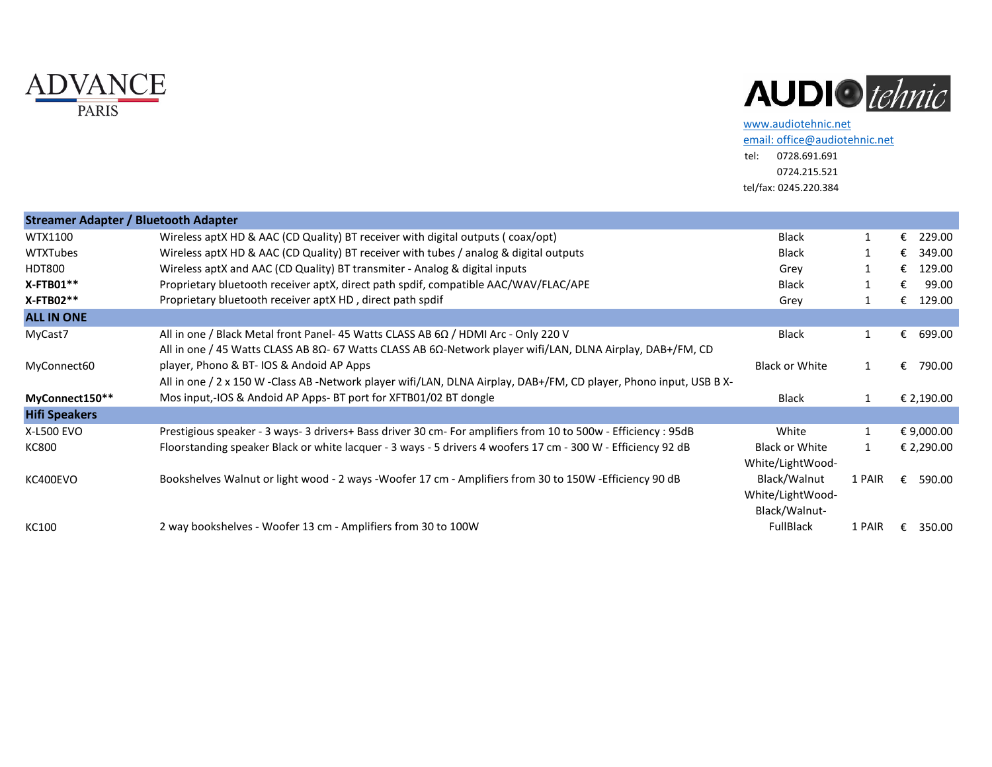



[www.audiotehnic.net](http://www.audiotehnic.net/)

[email: office@audiotehnic.net](mailto:office@audiotehnic.net) tel: 0728.691.691 0724.215.521

tel/fax: 0245.220.384

| <b>Streamer Adapter / Bluetooth Adapter</b> |                                                                                                                                                                                                                           |                                                   |        |             |
|---------------------------------------------|---------------------------------------------------------------------------------------------------------------------------------------------------------------------------------------------------------------------------|---------------------------------------------------|--------|-------------|
| WTX1100                                     | Wireless aptX HD & AAC (CD Quality) BT receiver with digital outputs (coax/opt)                                                                                                                                           | <b>Black</b>                                      |        | €<br>229.00 |
| <b>WTXTubes</b>                             | Wireless aptX HD & AAC (CD Quality) BT receiver with tubes / analog & digital outputs                                                                                                                                     | <b>Black</b>                                      |        | 349.00<br>€ |
| HDT800                                      | Wireless aptX and AAC (CD Quality) BT transmiter - Analog & digital inputs                                                                                                                                                | Grey                                              |        | 129.00<br>€ |
| X-FTB01**                                   | Proprietary bluetooth receiver aptX, direct path spdif, compatible AAC/WAV/FLAC/APE                                                                                                                                       | <b>Black</b>                                      |        | 99.00<br>€  |
| X-FTB02**                                   | Proprietary bluetooth receiver aptX HD, direct path spdif                                                                                                                                                                 | Grey                                              |        | 129.00<br>€ |
| <b>ALL IN ONE</b>                           |                                                                                                                                                                                                                           |                                                   |        |             |
| MyCast7                                     | All in one / Black Metal front Panel- 45 Watts CLASS AB $6\Omega$ / HDMI Arc - Only 220 V<br>All in one / 45 Watts CLASS AB 8 $\Omega$ - 67 Watts CLASS AB 6 $\Omega$ -Network player wifi/LAN, DLNA Airplay, DAB+/FM, CD | <b>Black</b>                                      | 1      | 699.00<br>€ |
| MyConnect60                                 | player, Phono & BT- IOS & Andoid AP Apps<br>All in one / 2 x 150 W -Class AB -Network player wifi/LAN, DLNA Airplay, DAB+/FM, CD player, Phono input, USB B X-                                                            | <b>Black or White</b>                             |        | 790.00<br>€ |
| MyConnect150**                              | Mos input,-IOS & Andoid AP Apps- BT port for XFTB01/02 BT dongle                                                                                                                                                          | <b>Black</b>                                      | 1      | € 2,190.00  |
| <b>Hifi Speakers</b>                        |                                                                                                                                                                                                                           |                                                   |        |             |
| X-L500 EVO                                  | Prestigious speaker - 3 ways- 3 drivers+ Bass driver 30 cm- For amplifiers from 10 to 500w - Efficiency : 95dB                                                                                                            | White                                             | 1      | € 9,000.00  |
| KC800                                       | Floorstanding speaker Black or white lacquer - 3 ways - 5 drivers 4 woofers 17 cm - 300 W - Efficiency 92 dB                                                                                                              | Black or White<br>White/LightWood-                | 1      | € 2,290.00  |
| KC400EVO                                    | Bookshelves Walnut or light wood - 2 ways -Woofer 17 cm - Amplifiers from 30 to 150W -Efficiency 90 dB                                                                                                                    | Black/Walnut<br>White/LightWood-<br>Black/Walnut- | 1 PAIR | 590.00<br>€ |
| KC100                                       | 2 way bookshelves - Woofer 13 cm - Amplifiers from 30 to 100W                                                                                                                                                             | <b>FullBlack</b>                                  | 1 PAIR | 350.00      |
|                                             |                                                                                                                                                                                                                           |                                                   |        |             |